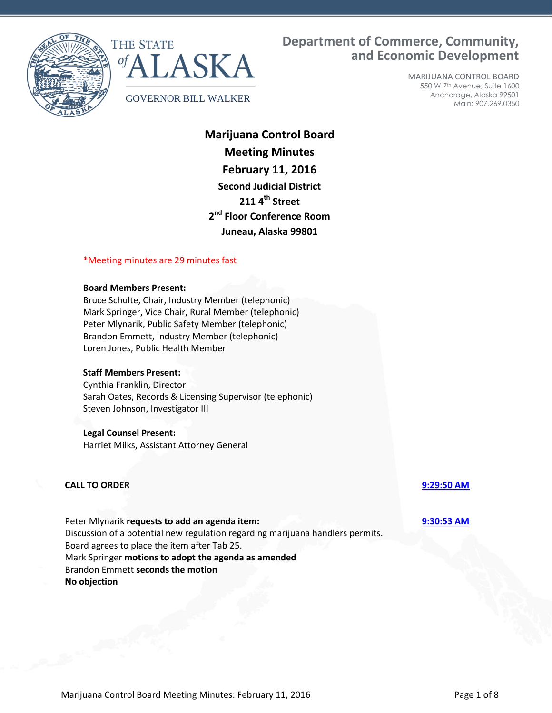



# **Department of Commerce, Community, and Economic Development**

MARIJUANA CONTROL BOARD 550 W 7th Avenue, Suite 1600 Anchorage, Alaska 99501 Main: 907.269.0350

**Marijuana Control Board Meeting Minutes February 11, 2016 Second Judicial District 211 4th Street 2 nd Floor Conference Room Juneau, Alaska 99801**

# \*Meeting minutes are 29 minutes fast

## **Board Members Present:**

Bruce Schulte, Chair, Industry Member (telephonic) Mark Springer, Vice Chair, Rural Member (telephonic) Peter Mlynarik, Public Safety Member (telephonic) Brandon Emmett, Industry Member (telephonic) Loren Jones, Public Health Member

## **Staff Members Present:**

Cynthia Franklin, Director Sarah Oates, Records & Licensing Supervisor (telephonic) Steven Johnson, Investigator III

## **Legal Counsel Present:**

Harriet Milks, Assistant Attorney General

## **CALL TO ORDER [9:29:50 AM](ftr://?location="ABC Board"?date="11-Feb-2016"?position="09:29:50"?Data="9ab08c7f")**

Peter Mlynarik **requests to add an agenda item: [9:30:53 AM](ftr://?location="ABC Board"?date="11-Feb-2016"?position="09:30:53"?Data="efb54434")** Discussion of a potential new regulation regarding marijuana handlers permits. Board agrees to place the item after Tab 25. Mark Springer **motions to adopt the agenda as amended** Brandon Emmett **seconds the motion No objection**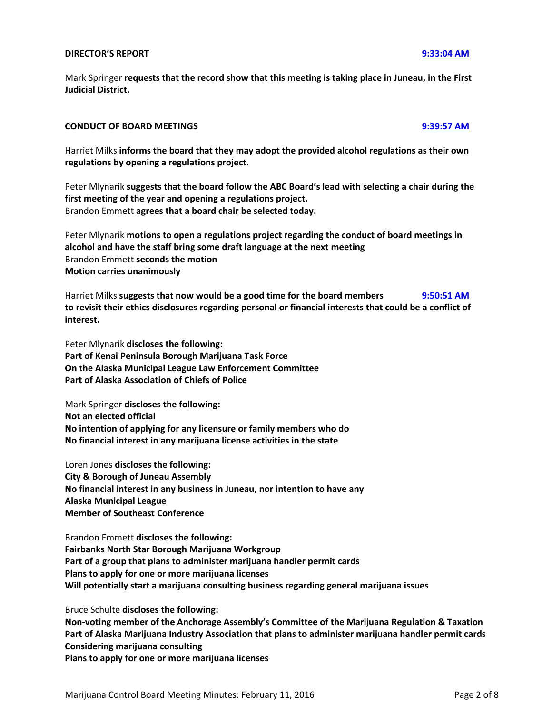## **DIRECTOR'S REPORT [9:33:04 AM](ftr://?location="ABC Board"?date="11-Feb-2016"?position="09:33:04"?Data="c998563d")**

Mark Springer **requests that the record show that this meeting is taking place in Juneau, in the First Judicial District.**

## **CONDUCT OF BOARD MEETINGS [9:39:57 AM](ftr://?location="ABC Board"?date="11-Feb-2016"?position="09:39:57"?Data="9cc2f8a9")**

Harriet Milks **informs the board that they may adopt the provided alcohol regulations as their own regulations by opening a regulations project.**

Peter Mlynarik **suggests that the board follow the ABC Board's lead with selecting a chair during the first meeting of the year and opening a regulations project.** Brandon Emmett **agrees that a board chair be selected today.**

Peter Mlynarik **motions to open a regulations project regarding the conduct of board meetings in alcohol and have the staff bring some draft language at the next meeting** Brandon Emmett **seconds the motion Motion carries unanimously**

Harriet Milks **suggests that now would be a good time for the board members [9:50:51 AM](ftr://?location="ABC Board"?date="11-Feb-2016"?position="09:50:51"?Data="aa81295f") to revisit their ethics disclosures regarding personal or financial interests that could be a conflict of interest.**

Peter Mlynarik **discloses the following: Part of Kenai Peninsula Borough Marijuana Task Force On the Alaska Municipal League Law Enforcement Committee Part of Alaska Association of Chiefs of Police**

Mark Springer **discloses the following: Not an elected official No intention of applying for any licensure or family members who do No financial interest in any marijuana license activities in the state**

Loren Jones **discloses the following: City & Borough of Juneau Assembly No financial interest in any business in Juneau, nor intention to have any Alaska Municipal League Member of Southeast Conference**

Brandon Emmett **discloses the following: Fairbanks North Star Borough Marijuana Workgroup Part of a group that plans to administer marijuana handler permit cards Plans to apply for one or more marijuana licenses Will potentially start a marijuana consulting business regarding general marijuana issues**

Bruce Schulte **discloses the following:**

**Non-voting member of the Anchorage Assembly's Committee of the Marijuana Regulation & Taxation Part of Alaska Marijuana Industry Association that plans to administer marijuana handler permit cards Considering marijuana consulting Plans to apply for one or more marijuana licenses**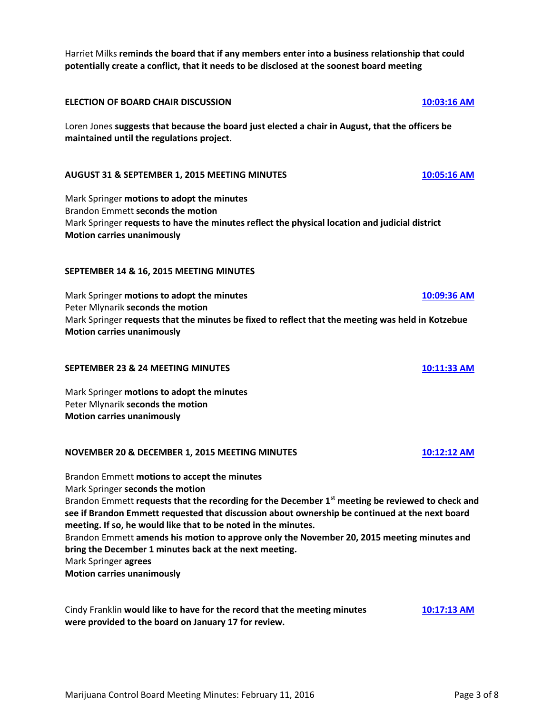Harriet Milks **reminds the board that if any members enter into a business relationship that could potentially create a conflict, that it needs to be disclosed at the soonest board meeting**

# **ELECTION OF BOARD CHAIR DISCUSSION [10:03:16 AM](ftr://?location="ABC Board"?date="11-Feb-2016"?position="10:03:16"?Data="ed7a27dc")**

Loren Jones **suggests that because the board just elected a chair in August, that the officers be maintained until the regulations project.**

# **AUGUST 31 & SEPTEMBER 1, 2015 MEETING MINUTES [10:05:16 AM](ftr://?location="ABC Board"?date="11-Feb-2016"?position="10:05:16"?Data="e064579b")**

Mark Springer **motions to adopt the minutes** Brandon Emmett **seconds the motion** Mark Springer **requests to have the minutes reflect the physical location and judicial district Motion carries unanimously**

# **SEPTEMBER 14 & 16, 2015 MEETING MINUTES**

Mark Springer **motions to adopt the minutes [10:09:36 AM](ftr://?location="ABC Board"?date="11-Feb-2016"?position="10:05:16"?Data="e064579b")** Peter Mlynarik **seconds the motion** Mark Springer **requests that the minutes be fixed to reflect that the meeting was held in Kotzebue Motion carries unanimously**

## **SEPTEMBER 23 & 24 MEETING MINUTES [10:11:33 AM](ftr://?location="ABC Board"?date="11-Feb-2016"?position="10:11:33"?Data="083ceab7")**

Mark Springer **motions to adopt the minutes** Peter Mlynarik **seconds the motion Motion carries unanimously**

## **NOVEMBER 20 & DECEMBER 1, 2015 MEETING MINUTES [10:12:12 AM](ftr://?location="ABC Board"?date="11-Feb-2016"?position="10:12:12"?Data="167f97da")**

Brandon Emmett **motions to accept the minutes** Mark Springer **seconds the motion** Brandon Emmett **requests that the recording for the December 1st meeting be reviewed to check and see if Brandon Emmett requested that discussion about ownership be continued at the next board meeting. If so, he would like that to be noted in the minutes.** Brandon Emmett **amends his motion to approve only the November 20, 2015 meeting minutes and bring the December 1 minutes back at the next meeting.** Mark Springer **agrees Motion carries unanimously**

Cindy Franklin **would like to have for the record that the meeting minutes [10:17:13 AM](ftr://?location="ABC Board"?date="11-Feb-2016"?position="10:17:13"?Data="48ea3bfb") were provided to the board on January 17 for review.**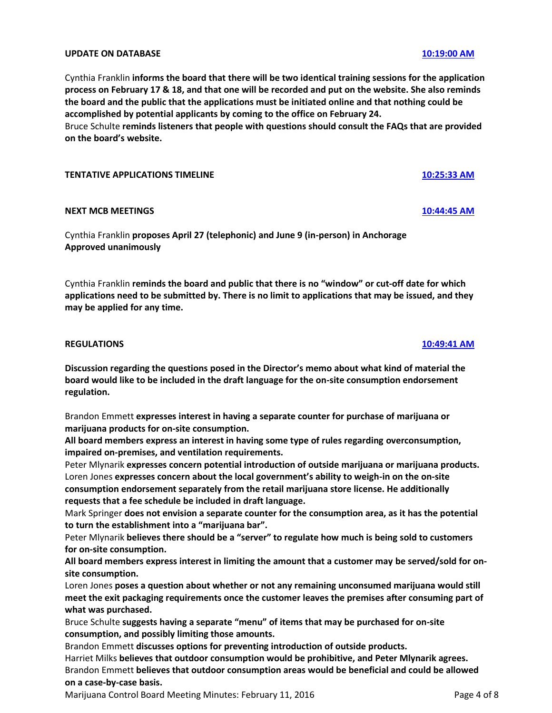## **UPDATE ON DATABASE [10:19:00 AM](ftr://?location="ABC Board"?date="11-Feb-2016"?position="10:19:00"?Data="8fca7703")**

Cynthia Franklin **informs the board that there will be two identical training sessions for the application process on February 17 & 18, and that one will be recorded and put on the website. She also reminds the board and the public that the applications must be initiated online and that nothing could be accomplished by potential applicants by coming to the office on February 24.**

Bruce Schulte **reminds listeners that people with questions should consult the FAQs that are provided on the board's website.**

# **TENTATIVE APPLICATIONS TIMELINE [10:25:33 AM](ftr://?location="ABC Board"?date="11-Feb-2016"?position="10:25:33"?Data="7649983d")**

# **NEXT MCB MEETINGS [10:44:45 AM](ftr://?location="ABC Board"?date="11-Feb-2016"?position="10:44:45"?Data="4ed83987")**

Cynthia Franklin **proposes April 27 (telephonic) and June 9 (in-person) in Anchorage Approved unanimously**

Cynthia Franklin **reminds the board and public that there is no "window" or cut-off date for which applications need to be submitted by. There is no limit to applications that may be issued, and they may be applied for any time.**

## **REGULATIONS [10:49:41 AM](ftr://?location="ABC Board"?date="11-Feb-2016"?position="10:49:41"?Data="34442560")**

**Discussion regarding the questions posed in the Director's memo about what kind of material the board would like to be included in the draft language for the on-site consumption endorsement regulation.**

Brandon Emmett **expresses interest in having a separate counter for purchase of marijuana or marijuana products for on-site consumption.**

**All board members express an interest in having some type of rules regarding overconsumption, impaired on-premises, and ventilation requirements.**

Peter Mlynarik **expresses concern potential introduction of outside marijuana or marijuana products.** Loren Jones **expresses concern about the local government's ability to weigh-in on the on-site consumption endorsement separately from the retail marijuana store license. He additionally requests that a fee schedule be included in draft language.**

Mark Springer **does not envision a separate counter for the consumption area, as it has the potential to turn the establishment into a "marijuana bar".**

Peter Mlynarik **believes there should be a "server" to regulate how much is being sold to customers for on-site consumption.**

**All board members express interest in limiting the amount that a customer may be served/sold for onsite consumption.**

Loren Jones **poses a question about whether or not any remaining unconsumed marijuana would still meet the exit packaging requirements once the customer leaves the premises after consuming part of what was purchased.**

Bruce Schulte **suggests having a separate "menu" of items that may be purchased for on-site consumption, and possibly limiting those amounts.**

Brandon Emmett **discusses options for preventing introduction of outside products.** Harriet Milks **believes that outdoor consumption would be prohibitive, and Peter Mlynarik agrees.** Brandon Emmett **believes that outdoor consumption areas would be beneficial and could be allowed on a case-by-case basis.**

Marijuana Control Board Meeting Minutes: February 11, 2016 **Page 4 of 8** Page 4 of 8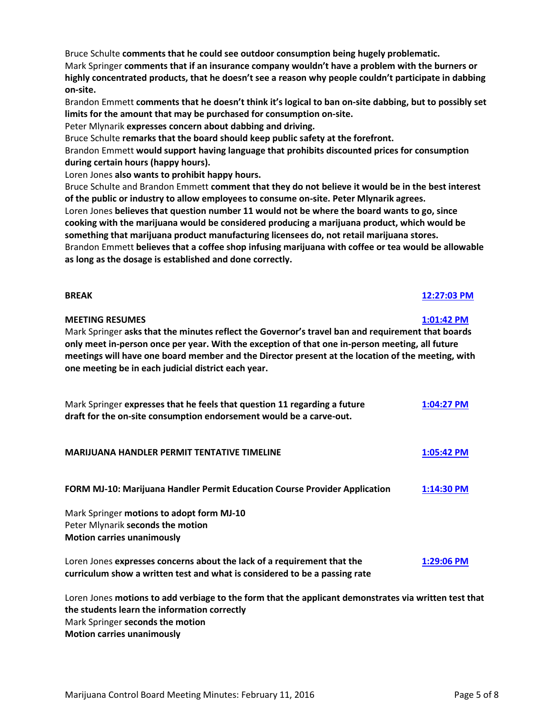Bruce Schulte **comments that he could see outdoor consumption being hugely problematic.** Mark Springer **comments that if an insurance company wouldn't have a problem with the burners or highly concentrated products, that he doesn't see a reason why people couldn't participate in dabbing on-site.**

Brandon Emmett **comments that he doesn't think it's logical to ban on-site dabbing, but to possibly set limits for the amount that may be purchased for consumption on-site.**

Peter Mlynarik **expresses concern about dabbing and driving.**

Bruce Schulte **remarks that the board should keep public safety at the forefront.**

Brandon Emmett **would support having language that prohibits discounted prices for consumption during certain hours (happy hours).**

Loren Jones **also wants to prohibit happy hours.**

Bruce Schulte and Brandon Emmett **comment that they do not believe it would be in the best interest of the public or industry to allow employees to consume on-site. Peter Mlynarik agrees.** Loren Jones **believes that question number 11 would not be where the board wants to go, since cooking with the marijuana would be considered producing a marijuana product, which would be something that marijuana product manufacturing licensees do, not retail marijuana stores.** Brandon Emmett **believes that a coffee shop infusing marijuana with coffee or tea would be allowable as long as the dosage is established and done correctly.**

# **MEETING RESUMES [1:01:42 PM](ftr://?location="ABC Board"?date="11-Feb-2016"?position="13:01:42"?Data="1fe845f7")**

Mark Springer **asks that the minutes reflect the Governor's travel ban and requirement that boards only meet in-person once per year. With the exception of that one in-person meeting, all future meetings will have one board member and the Director present at the location of the meeting, with one meeting be in each judicial district each year.**

| Mark Springer expresses that he feels that question 11 regarding a future<br>draft for the on-site consumption endorsement would be a carve-out.      | 1:04:27 PM   |
|-------------------------------------------------------------------------------------------------------------------------------------------------------|--------------|
| <b>MARIJUANA HANDLER PERMIT TENTATIVE TIMELINE</b>                                                                                                    | 1:05:42 PM   |
| FORM MJ-10: Marijuana Handler Permit Education Course Provider Application                                                                            | $1:14:30$ PM |
| Mark Springer motions to adopt form MJ-10<br>Peter Mlynarik seconds the motion<br><b>Motion carries unanimously</b>                                   |              |
| Loren Jones expresses concerns about the lack of a requirement that the<br>curriculum show a written test and what is considered to be a passing rate | 1:29:06 PM   |

Loren Jones **motions to add verbiage to the form that the applicant demonstrates via written test that the students learn the information correctly** Mark Springer **seconds the motion Motion carries unanimously**

# **BREAK [12:27:03 PM](ftr://?location="ABC Board"?date="11-Feb-2016"?position="12:27:03"?Data="73881fcd")**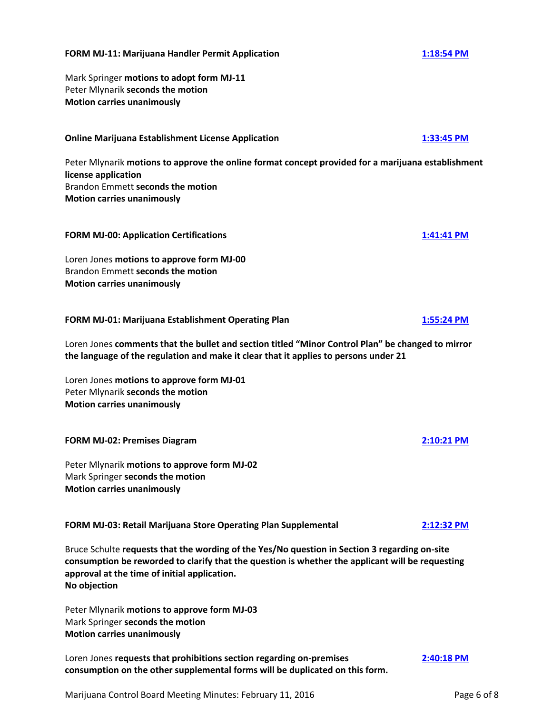## **FORM MJ-11: Marijuana Handler Permit Application [1:18:54 PM](ftr://?location="ABC Board"?date="11-Feb-2016"?position="13:18:54"?Data="966fae2b")**

Mark Springer **motions to adopt form MJ-11** Peter Mlynarik **seconds the motion Motion carries unanimously**

**Online Marijuana Establishment License Application [1:33:45 PM](ftr://?location="ABC Board"?date="11-Feb-2016"?position="13:33:45"?Data="f1547f83")**

Peter Mlynarik **motions to approve the online format concept provided for a marijuana establishment license application** Brandon Emmett **seconds the motion Motion carries unanimously**

# **FORM MJ-00: Application Certifications [1:41:41 PM](ftr://?location="ABC Board"?date="11-Feb-2016"?position="13:41:41"?Data="0e5bd166")**

Loren Jones **motions to approve form MJ-00** Brandon Emmett **seconds the motion Motion carries unanimously**

# **FORM MJ-01: Marijuana Establishment Operating Plan [1:55:24 PM](ftr://?location="ABC Board"?date="11-Feb-2016"?position="13:55:24"?Data="7d922e5c")**

Loren Jones **comments that the bullet and section titled "Minor Control Plan" be changed to mirror the language of the regulation and make it clear that it applies to persons under 21**

Loren Jones **motions to approve form MJ-01** Peter Mlynarik **seconds the motion Motion carries unanimously**

# **FORM MJ-02: Premises Diagram [2:10:21 PM](ftr://?location="ABC Board"?date="11-Feb-2016"?position="14:10:21"?Data="529ad620")**

Peter Mlynarik **motions to approve form MJ-02** Mark Springer **seconds the motion Motion carries unanimously**

**FORM MJ-03: Retail Marijuana Store Operating Plan Supplemental [2:12:32 PM](ftr://?location="ABC Board"?date="11-Feb-2016"?position="14:12:32"?Data="8f867a56")**

Bruce Schulte **requests that the wording of the Yes/No question in Section 3 regarding on-site consumption be reworded to clarify that the question is whether the applicant will be requesting approval at the time of initial application. No objection**

Peter Mlynarik **motions to approve form MJ-03** Mark Springer **seconds the motion Motion carries unanimously**

Loren Jones **requests that prohibitions section regarding on-premises [2:40:18 PM](ftr://?location="ABC Board"?date="11-Feb-2016"?position="14:40:18"?Data="31a59c14") consumption on the other supplemental forms will be duplicated on this form.**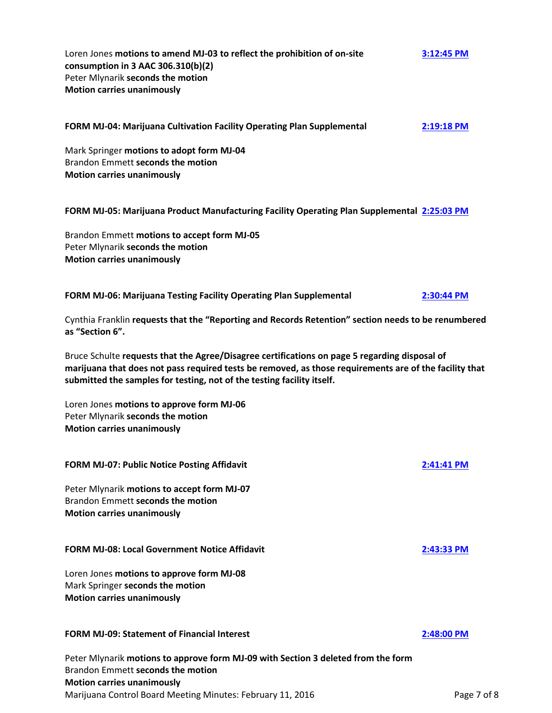Loren Jones **motions to amend MJ-03 to reflect the prohibition of on-site [3:12:45 PM](ftr://?location="ABC Board"?date="11-Feb-2016"?position="15:12:45"?Data="a13ce3c6") consumption in 3 AAC 306.310(b)(2)** Peter Mlynarik **seconds the motion Motion carries unanimously**

# **FORM MJ-04: Marijuana Cultivation Facility Operating Plan Supplemental [2:19:18 PM](ftr://?location="ABC Board"?date="11-Feb-2016"?position="14:19:18"?Data="5513c0ce")**

Mark Springer **motions to adopt form MJ-04** Brandon Emmett **seconds the motion Motion carries unanimously**

# **FORM MJ-05: Marijuana Product Manufacturing Facility Operating Plan Supplemental [2:25:03 PM](ftr://?location="ABC Board"?date="11-Feb-2016"?position="14:25:03"?Data="24eca614")**

Brandon Emmett **motions to accept form MJ-05** Peter Mlynarik **seconds the motion Motion carries unanimously**

# **FORM MJ-06: Marijuana Testing Facility Operating Plan Supplemental [2:30:44 PM](ftr://?location="ABC Board"?date="11-Feb-2016"?position="14:30:44"?Data="5f265b90")**

Cynthia Franklin **requests that the "Reporting and Records Retention" section needs to be renumbered as "Section 6".**

Bruce Schulte **requests that the Agree/Disagree certifications on page 5 regarding disposal of marijuana that does not pass required tests be removed, as those requirements are of the facility that submitted the samples for testing, not of the testing facility itself.**

Loren Jones **motions to approve form MJ-06** Peter Mlynarik **seconds the motion Motion carries unanimously**

| <b>FORM MJ-07: Public Notice Posting Affidavit</b>                                                                    | $2:41:41$ PM |
|-----------------------------------------------------------------------------------------------------------------------|--------------|
| Peter Mlynarik motions to accept form MJ-07<br>Brandon Emmett seconds the motion<br><b>Motion carries unanimously</b> |              |
| <b>FORM MJ-08: Local Government Notice Affidavit</b>                                                                  | 2:43:33 PM   |
| Loren Jones motions to approve form MJ-08<br>Mark Springer seconds the motion<br><b>Motion carries unanimously</b>    |              |

## **FORM MJ-09: Statement of Financial Interest [2:48:00 PM](ftr://?location="ABC Board"?date="11-Feb-2016"?position="14:48:00"?Data="2c9a27aa")**

Marijuana Control Board Meeting Minutes: February 11, 2016 **Page 7 of 8** Page 7 of 8 Peter Mlynarik **motions to approve form MJ-09 with Section 3 deleted from the form** Brandon Emmett **seconds the motion Motion carries unanimously**